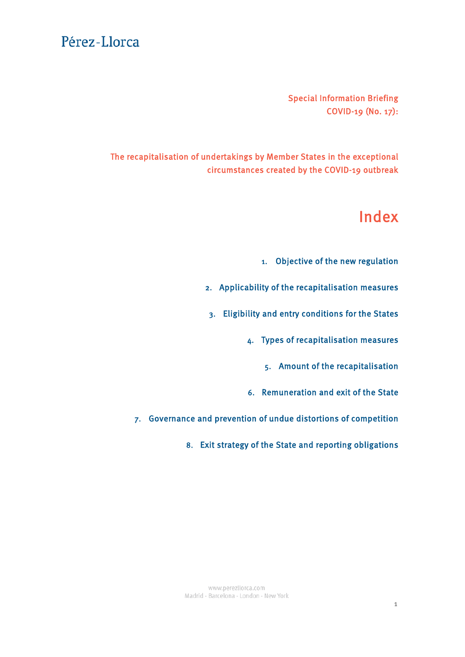Special Information Briefing COVID-19 (No. 17):

The recapitalisation of undertakings by Member States in the exceptional circumstances created by the COVID-19 outbreak

# Index

1. [Objective of the new regulation](#page-1-0)

2. [Applicability of the recapitalisation measures](#page-2-0)

3. Eligibility and entry conditions for the States

4. [Types of recapitalisation measures](#page-4-0)

5. Amount of the recapitalisation

6. [Remuneration and exit of the State](#page-5-0)

7. [Governance and prevention of undue distortions of competition](#page-7-0)

8. [Exit strategy of the State and reporting obligations](#page-8-0)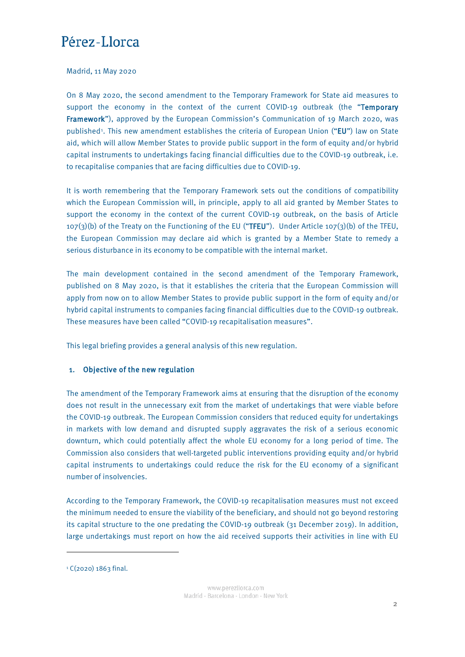<span id="page-1-0"></span>Madrid, 11 May 2020

On 8 May 2020, the second amendment to the Temporary Framework for State aid measures to support the economy in the context of the current COVID-19 outbreak (the "Temporary Framework"), approved by the European Commission's Communication of 19 March 2020, was published<sup>[1](#page-1-1)</sup>. This new amendment establishes the criteria of European Union ("EU") law on State aid, which will allow Member States to provide public support in the form of equity and/or hybrid capital instruments to undertakings facing financial difficulties due to the COVID-19 outbreak, i.e. to recapitalise companies that are facing difficulties due to COVID-19.

It is worth remembering that the Temporary Framework sets out the conditions of compatibility which the European Commission will, in principle, apply to all aid granted by Member States to support the economy in the context of the current COVID-19 outbreak, on the basis of Article  $107(3)(b)$  of the Treaty on the Functioning of the EU ("TFEU"). Under Article  $107(3)(b)$  of the TFEU, the European Commission may declare aid which is granted by a Member State to remedy a serious disturbance in its economy to be compatible with the internal market.

The main development contained in the second amendment of the Temporary Framework, published on 8 May 2020, is that it establishes the criteria that the European Commission will apply from now on to allow Member States to provide public support in the form of equity and/or hybrid capital instruments to companies facing financial difficulties due to the COVID-19 outbreak. These measures have been called "COVID-19 recapitalisation measures".

This legal briefing provides a general analysis of this new regulation.

#### 1. Objective of the new regulation

The amendment of the Temporary Framework aims at ensuring that the disruption of the economy does not result in the unnecessary exit from the market of undertakings that were viable before the COVID-19 outbreak. The European Commission considers that reduced equity for undertakings in markets with low demand and disrupted supply aggravates the risk of a serious economic downturn, which could potentially affect the whole EU economy for a long period of time. The Commission also considers that well-targeted public interventions providing equity and/or hybrid capital instruments to undertakings could reduce the risk for the EU economy of a significant number of insolvencies.

According to the Temporary Framework, the COVID-19 recapitalisation measures must not exceed the minimum needed to ensure the viability of the beneficiary, and should not go beyond restoring its capital structure to the one predating the COVID-19 outbreak (31 December 2019). In addition, large undertakings must report on how the aid received supports their activities in line with EU

 $\overline{\phantom{a}}$ 

<span id="page-1-1"></span> $1$  C(2020) 1863 final.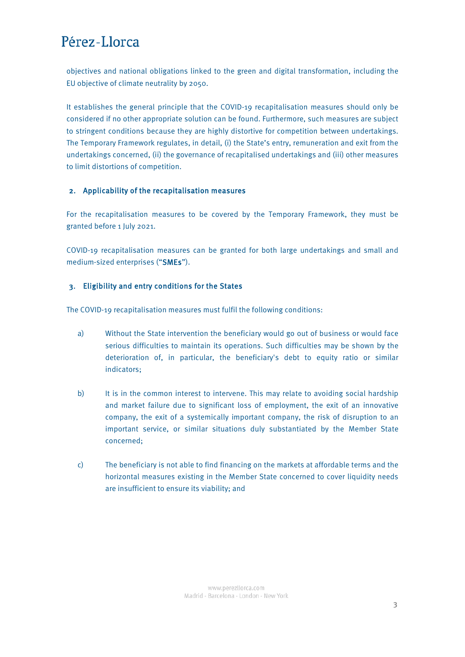<span id="page-2-0"></span>objectives and national obligations linked to the green and digital transformation, including the EU objective of climate neutrality by 2050.

It establishes the general principle that the COVID-19 recapitalisation measures should only be considered if no other appropriate solution can be found. Furthermore, such measures are subject to stringent conditions because they are highly distortive for competition between undertakings. The Temporary Framework regulates, in detail, (i) the State's entry, remuneration and exit from the undertakings concerned, (ii) the governance of recapitalised undertakings and (iii) other measures to limit distortions of competition.

#### 2. Applicability of the recapitalisation measures

For the recapitalisation measures to be covered by the Temporary Framework, they must be granted before 1 July 2021.

COVID-19 recapitalisation measures can be granted for both large undertakings and small and medium-sized enterprises ("SMEs").

#### 3. Eligibility and entry conditions for the States

The COVID-19 recapitalisation measures must fulfil the following conditions:

- a) Without the State intervention the beneficiary would go out of business or would face serious difficulties to maintain its operations. Such difficulties may be shown by the deterioration of, in particular, the beneficiary's debt to equity ratio or similar indicators;
- b) It is in the common interest to intervene. This may relate to avoiding social hardship and market failure due to significant loss of employment, the exit of an innovative company, the exit of a systemically important company, the risk of disruption to an important service, or similar situations duly substantiated by the Member State concerned;
- c) The beneficiary is not able to find financing on the markets at affordable terms and the horizontal measures existing in the Member State concerned to cover liquidity needs are insufficient to ensure its viability; and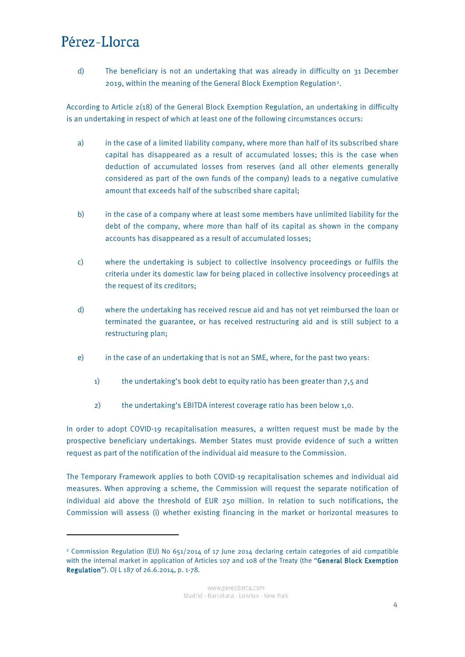**.** 

d) The beneficiary is not an undertaking that was already in difficulty on 31 December 2019, within the meaning of the General Block Exemption Regulation[2.](#page-3-0)

According to Article 2(18) of the General Block Exemption Regulation, an undertaking in difficulty is an undertaking in respect of which at least one of the following circumstances occurs:

- a) in the case of a limited liability company, where more than half of its subscribed share capital has disappeared as a result of accumulated losses; this is the case when deduction of accumulated losses from reserves (and all other elements generally considered as part of the own funds of the company) leads to a negative cumulative amount that exceeds half of the subscribed share capital;
- b) in the case of a company where at least some members have unlimited liability for the debt of the company, where more than half of its capital as shown in the company accounts has disappeared as a result of accumulated losses;
- c) where the undertaking is subject to collective insolvency proceedings or fulfils the criteria under its domestic law for being placed in collective insolvency proceedings at the request of its creditors;
- d) where the undertaking has received rescue aid and has not yet reimbursed the loan or terminated the guarantee, or has received restructuring aid and is still subject to a restructuring plan;
- e) in the case of an undertaking that is not an SME, where, for the past two years:
	- 1) the undertaking's book debt to equity ratio has been greater than 7,5 and
	- 2) the undertaking's EBITDA interest coverage ratio has been below 1,0.

In order to adopt COVID-19 recapitalisation measures, a written request must be made by the prospective beneficiary undertakings. Member States must provide evidence of such a written request as part of the notification of the individual aid measure to the Commission.

The Temporary Framework applies to both COVID-19 recapitalisation schemes and individual aid measures. When approving a scheme, the Commission will request the separate notification of individual aid above the threshold of EUR 250 million. In relation to such notifications, the Commission will assess (i) whether existing financing in the market or horizontal measures to

<span id="page-3-0"></span><sup>2</sup> Commission Regulation (EU) No 651/2014 of 17 June 2014 declaring certain categories of aid compatible with the internal market in application of Articles 107 and 108 of the Treaty (the "General Block Exemption Regulation"). OJ L 187 of 26.6.2014, p. 1-78.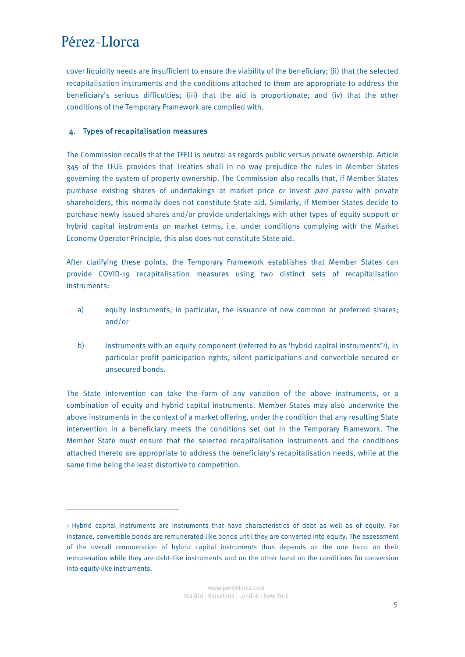<u>.</u>

<span id="page-4-0"></span>cover liquidity needs are insufficient to ensure the viability of the beneficiary; (ii) that the selected recapitalisation instruments and the conditions attached to them are appropriate to address the beneficiary's serious difficulties; (iii) that the aid is proportionate; and (iv) that the other conditions of the Temporary Framework are complied with.

#### 4. Types of recapitalisation measures

The Commission recalls that the TFEU is neutral as regards public versus private ownership. Article 345 of the TFUE provides that Treaties shall in no way prejudice the rules in Member States governing the system of property ownership. The Commission also recalls that, if Member States purchase existing shares of undertakings at market price or invest *pari passu* with private shareholders, this normally does not constitute State aid. Similarly, if Member States decide to purchase newly issued shares and/or provide undertakings with other types of equity support or hybrid capital instruments on market terms, i.e. under conditions complying with the Market Economy Operator Principle, this also does not constitute State aid.

After clarifying these points, the Temporary Framework establishes that Member States can provide COVID-19 recapitalisation measures using two distinct sets of recapitalisation instruments:

- a) equity instruments, in particular, the issuance of new common or preferred shares; and/or
- b) instruments with an equity component (referred to as 'hybrid capital instruments'<sup>[3](#page-4-1)</sup>), in particular profit participation rights, silent participations and convertible secured or unsecured bonds.

The State intervention can take the form of any variation of the above instruments, or a combination of equity and hybrid capital instruments. Member States may also underwrite the above instruments in the context of a market offering, under the condition that any resulting State intervention in a beneficiary meets the conditions set out in the Temporary Framework. The Member State must ensure that the selected recapitalisation instruments and the conditions attached thereto are appropriate to address the beneficiary's recapitalisation needs, while at the same time being the least distortive to competition.

<span id="page-4-1"></span><sup>3</sup> Hybrid capital instruments are instruments that have characteristics of debt as well as of equity. For instance, convertible bonds are remunerated like bonds until they are converted into equity. The assessment of the overall remuneration of hybrid capital instruments thus depends on the one hand on their remuneration while they are debt-like instruments and on the other hand on the conditions for conversion into equity-like instruments.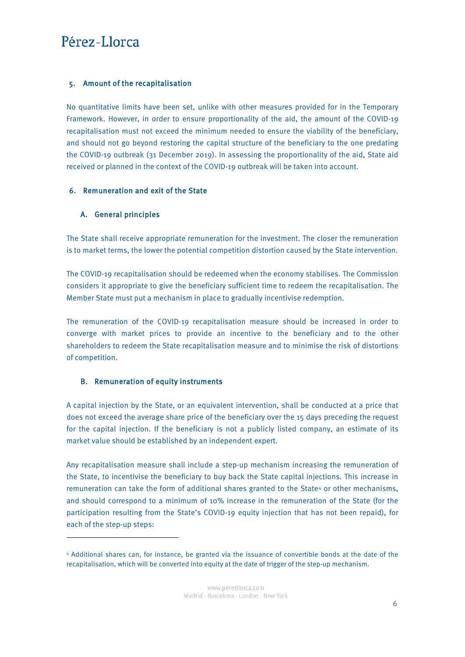#### <span id="page-5-0"></span>5. Amount of the recapitalisation

No quantitative limits have been set, unlike with other measures provided for in the Temporary Framework. However, in order to ensure proportionality of the aid, the amount of the COVID-19 recapitalisation must not exceed the minimum needed to ensure the viability of the beneficiary, and should not go beyond restoring the capital structure of the beneficiary to the one predating the COVID-19 outbreak (31 December 2019). In assessing the proportionality of the aid, State aid received or planned in the context of the COVID-19 outbreak will be taken into account.

#### 6. Remuneration and exit of the State

#### A. General principles

The State shall receive appropriate remuneration for the investment. The closer the remuneration is to market terms, the lower the potential competition distortion caused by the State intervention.

The COVID-19 recapitalisation should be redeemed when the economy stabilises. The Commission considers it appropriate to give the beneficiary sufficient time to redeem the recapitalisation. The Member State must put a mechanism in place to gradually incentivise redemption.

The remuneration of the COVID-19 recapitalisation measure should be increased in order to converge with market prices to provide an incentive to the beneficiary and to the other shareholders to redeem the State recapitalisation measure and to minimise the risk of distortions of competition.

#### B. Remuneration of equity instruments

**.** 

A capital injection by the State, or an equivalent intervention, shall be conducted at a price that does not exceed the average share price of the beneficiary over the 15 days preceding the request for the capital injection. If the beneficiary is not a publicly listed company, an estimate of its market value should be established by an independent expert.

Any recapitalisation measure shall include a step-up mechanism increasing the remuneration of the State, to incentivise the beneficiary to buy back the State capital injections. This increase in remuneration can take the form of additional shares granted to the State<sup>[4](#page-5-1)</sup> or other mechanisms, and should correspond to a minimum of 10% increase in the remuneration of the State (for the participation resulting from the State's COVID-19 equity injection that has not been repaid), for each of the step-up steps:

<span id="page-5-1"></span><sup>4</sup> Additional shares can, for instance, be granted via the issuance of convertible bonds at the date of the recapitalisation, which will be converted into equity at the date of trigger of the step-up mechanism.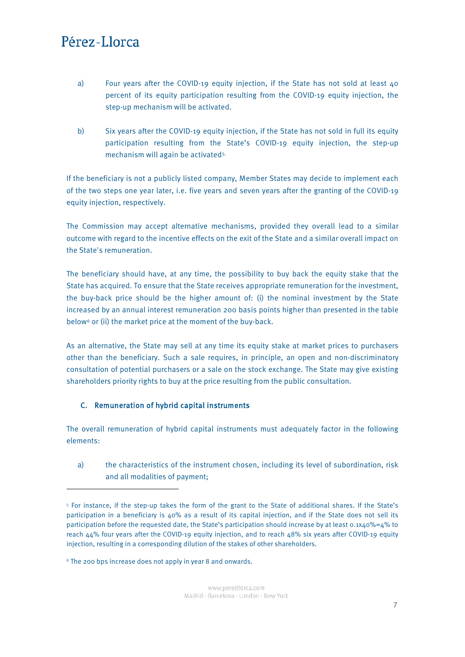- a) Four years after the COVID-19 equity injection, if the State has not sold at least  $40$ percent of its equity participation resulting from the COVID-19 equity injection, the step-up mechanism will be activated.
- b) Six years after the COVID-19 equity injection, if the State has not sold in full its equity participation resulting from the State's COVID-19 equity injection, the step-up mechanism will again be activated[5.](#page-6-0)

If the beneficiary is not a publicly listed company, Member States may decide to implement each of the two steps one year later, i.e. five years and seven years after the granting of the COVID-19 equity injection, respectively.

The Commission may accept alternative mechanisms, provided they overall lead to a similar outcome with regard to the incentive effects on the exit of the State and a similar overall impact on the State's remuneration.

The beneficiary should have, at any time, the possibility to buy back the equity stake that the State has acquired. To ensure that the State receives appropriate remuneration for the investment, the buy-back price should be the higher amount of: (i) the nominal investment by the State increased by an annual interest remuneration 200 basis points higher than presented in the table below<sup>[6](#page-6-1)</sup> or (ii) the market price at the moment of the buy-back.

As an alternative, the State may sell at any time its equity stake at market prices to purchasers other than the beneficiary. Such a sale requires, in principle, an open and non-discriminatory consultation of potential purchasers or a sale on the stock exchange. The State may give existing shareholders priority rights to buy at the price resulting from the public consultation.

#### C. Remuneration of hybrid capital instruments

The overall remuneration of hybrid capital instruments must adequately factor in the following elements:

a) the characteristics of the instrument chosen, including its level of subordination, risk and all modalities of payment;

 $\overline{\phantom{a}}$ 

<span id="page-6-0"></span><sup>5</sup> For instance, if the step-up takes the form of the grant to the State of additional shares. If the State's participation in a beneficiary is 40% as a result of its capital injection, and if the State does not sell its participation before the requested date, the State's participation should increase by at least 0.1x40%=4% to reach 44% four years after the COVID-19 equity injection, and to reach 48% six years after COVID-19 equity injection, resulting in a corresponding dilution of the stakes of other shareholders.

<span id="page-6-1"></span><sup>6</sup> The 200 bps increase does not apply in year 8 and onwards.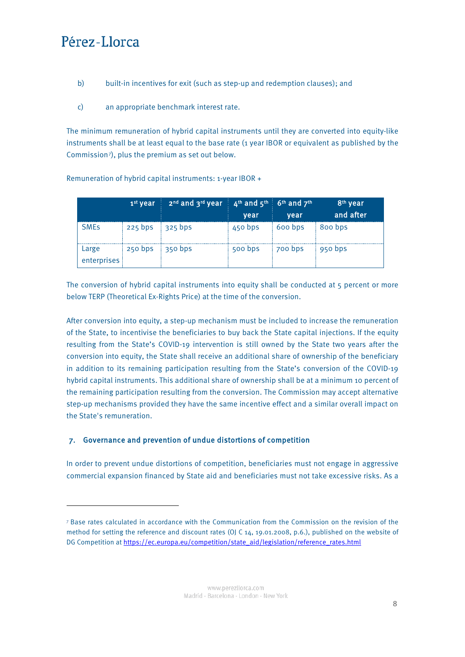<u>.</u>

- <span id="page-7-0"></span>b) built-in incentives for exit (such as step-up and redemption clauses); and
- c) an appropriate benchmark interest rate.

The minimum remuneration of hybrid capital instruments until they are converted into equity-like instruments shall be at least equal to the base rate (1 year IBOR or equivalent as published by the Commission[7](#page-7-1)), plus the premium as set out below.

|                        | 1 <sup>st</sup> year | $2^{nd}$ and $3^{rd}$ year $4^{th}$ and $5^{th}$ | vear    | $16th$ and $7th$<br>vear | 8 <sup>th</sup> year<br>and after |
|------------------------|----------------------|--------------------------------------------------|---------|--------------------------|-----------------------------------|
| <b>SME<sub>s</sub></b> | 225 bps              | $\frac{1}{2}$ 325 bps                            | 450 bps | 600 bps                  | 800 bps                           |
| Large<br>enterprises   | 250 bps              | $\frac{1}{2}$ 350 bps                            | 500 bps | 700 bps                  | 950 bps                           |

Remuneration of hybrid capital instruments: 1-year IBOR +

The conversion of hybrid capital instruments into equity shall be conducted at  $5$  percent or more below TERP (Theoretical Ex-Rights Price) at the time of the conversion.

After conversion into equity, a step-up mechanism must be included to increase the remuneration of the State, to incentivise the beneficiaries to buy back the State capital injections. If the equity resulting from the State's COVID-19 intervention is still owned by the State two years after the conversion into equity, the State shall receive an additional share of ownership of the beneficiary in addition to its remaining participation resulting from the State's conversion of the COVID-19 hybrid capital instruments. This additional share of ownership shall be at a minimum 10 percent of the remaining participation resulting from the conversion. The Commission may accept alternative step-up mechanisms provided they have the same incentive effect and a similar overall impact on the State's remuneration.

#### 7. Governance and prevention of undue distortions of competition

In order to prevent undue distortions of competition, beneficiaries must not engage in aggressive commercial expansion financed by State aid and beneficiaries must not take excessive risks. As a

<span id="page-7-1"></span><sup>7</sup> Base rates calculated in accordance with the Communication from the Commission on the revision of the method for setting the reference and discount rates (OJ C 14, 19.01.2008, p.6.), published on the website of DG Competition a[t https://ec.europa.eu/competition/state\\_aid/legislation/reference\\_rates.html](https://ec.europa.eu/competition/state_aid/legislation/reference_rates.html)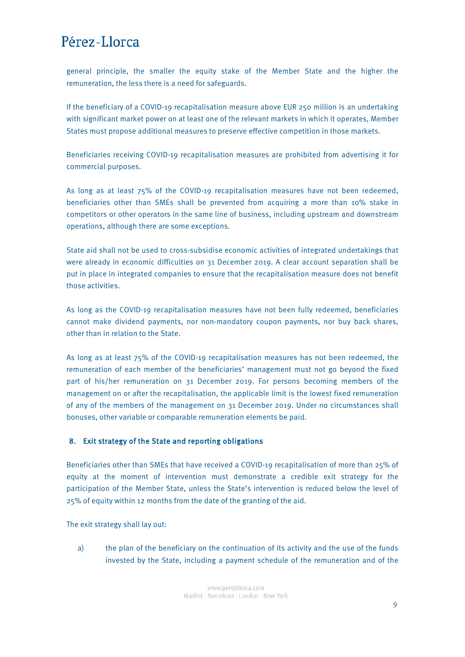<span id="page-8-0"></span>general principle, the smaller the equity stake of the Member State and the higher the remuneration, the less there is a need for safeguards.

If the beneficiary of a COVID-19 recapitalisation measure above EUR 250 million is an undertaking with significant market power on at least one of the relevant markets in which it operates, Member States must propose additional measures to preserve effective competition in those markets.

Beneficiaries receiving COVID-19 recapitalisation measures are prohibited from advertising it for commercial purposes.

As long as at least 75% of the COVID-19 recapitalisation measures have not been redeemed, beneficiaries other than SMEs shall be prevented from acquiring a more than 10% stake in competitors or other operators in the same line of business, including upstream and downstream operations, although there are some exceptions.

State aid shall not be used to cross-subsidise economic activities of integrated undertakings that were already in economic difficulties on 31 December 2019. A clear account separation shall be put in place in integrated companies to ensure that the recapitalisation measure does not benefit those activities.

As long as the COVID-19 recapitalisation measures have not been fully redeemed, beneficiaries cannot make dividend payments, nor non-mandatory coupon payments, nor buy back shares, other than in relation to the State.

As long as at least 75% of the COVID-19 recapitalisation measures has not been redeemed, the remuneration of each member of the beneficiaries' management must not go beyond the fixed part of his/her remuneration on 31 December 2019. For persons becoming members of the management on or after the recapitalisation, the applicable limit is the lowest fixed remuneration of any of the members of the management on 31 December 2019. Under no circumstances shall bonuses, other variable or comparable remuneration elements be paid.

#### 8. Exit strategy of the State and reporting obligations

Beneficiaries other than SMEs that have received a COVID-19 recapitalisation of more than 25% of equity at the moment of intervention must demonstrate a credible exit strategy for the participation of the Member State, unless the State's intervention is reduced below the level of 25% of equity within 12 months from the date of the granting of the aid.

The exit strategy shall lay out:

a) the plan of the beneficiary on the continuation of its activity and the use of the funds invested by the State, including a payment schedule of the remuneration and of the